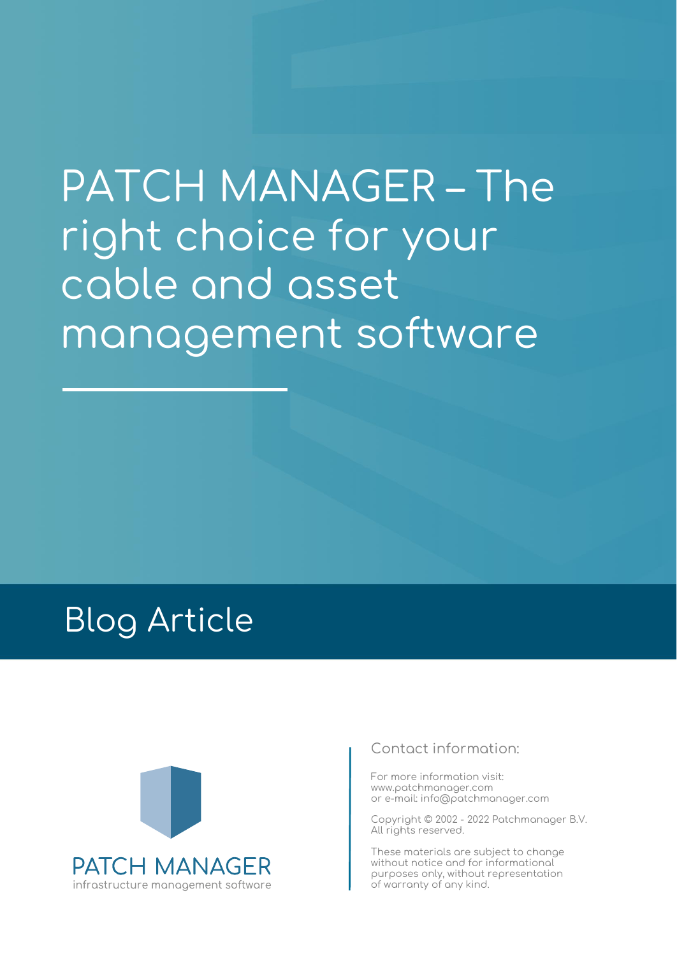# PATCH MANAGER – The right choice for your cable and asset management software

# Blog Article



# **Contact information:**

For more information visit: www.patchmanager.com or e-mail: info@patchmanager.com

Copyright © 2002 - 2022 Patchmanager B.V. All rights reserved.

These materials are subject to change without notice and for informational purposes only, without representation of warranty of any kind.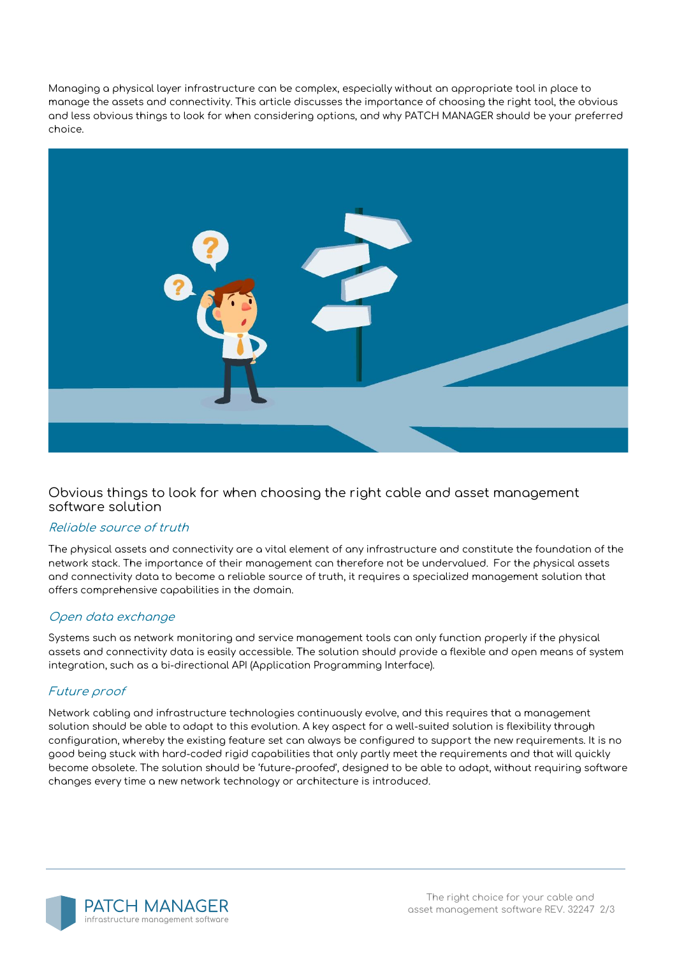Managing a physical layer infrastructure can be complex, especially without an appropriate tool in place to manage the assets and connectivity. This article discusses the importance of choosing the right tool, the obvious and less obvious things to look for when considering options, and why PATCH MANAGER should be your preferred choice.



# **Obvious things to look for when choosing the right cable and asset management software solution**

### **Reliable source of truth**

The physical assets and connectivity are a vital element of any infrastructure and constitute the foundation of the network stack. The importance of their management can therefore not be undervalued. For the physical assets and connectivity data to become a reliable source of truth, it requires a specialized management solution that offers comprehensive capabilities in the domain.

### **Open data exchange**

Systems such as network monitoring and service management tools can only function properly if the physical assets and connectivity data is easily accessible. The solution should provide a flexible and open means of system integration, such as a bi-directional API (Application Programming Interface).

# **Future proof**

Network cabling and infrastructure technologies continuously evolve, and this requires that a management solution should be able to adapt to this evolution. A key aspect for a well-suited solution is flexibility through configuration, whereby the existing feature set can always be configured to support the new requirements. It is no good being stuck with hard-coded rigid capabilities that only partly meet the requirements and that will quickly become obsolete. The solution should be 'future-proofed', designed to be able to adapt, without requiring software changes every time a new network technology or architecture is introduced.